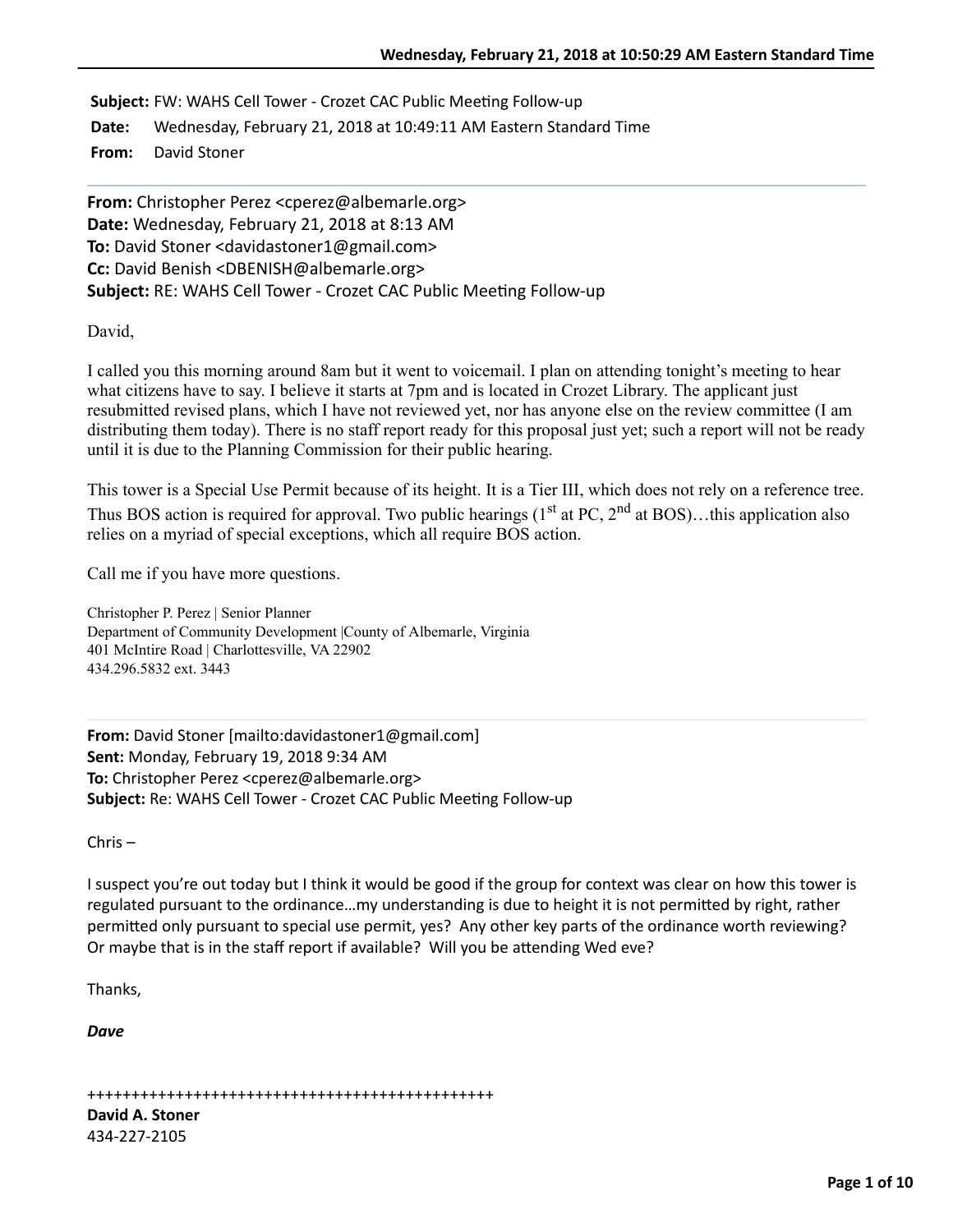**Subject:** FW: WAHS Cell Tower - Crozet CAC Public Meeting Follow-up

**Date:** Wednesday, February 21, 2018 at 10:49:11 AM Eastern Standard Time

**From:** David Stoner

**From:** Christopher Perez <cperez@albemarle.org> **Date:** Wednesday, February 21, 2018 at 8:13 AM To: David Stoner <davidastoner1@gmail.com> **Cc:** David Benish <DBENISH@albemarle.org> **Subject:** RE: WAHS Cell Tower - Crozet CAC Public Meeting Follow-up

David,

I called you this morning around 8am but it went to voicemail. I plan on attending tonight's meeting to hear what citizens have to say. I believe it starts at 7pm and is located in Crozet Library. The applicant just resubmitted revised plans, which I have not reviewed yet, nor has anyone else on the review committee (I am distributing them today). There is no staff report ready for this proposal just yet; such a report will not be ready until it is due to the Planning Commission for their public hearing.

This tower is a Special Use Permit because of its height. It is a Tier III, which does not rely on a reference tree. Thus BOS action is required for approval. Two public hearings  $(1<sup>st</sup> at PC, 2<sup>nd</sup> at BOS)...$ this application also relies on a myriad of special exceptions, which all require BOS action.

Call me if you have more questions.

Christopher P. Perez | Senior Planner Department of Community Development |County of Albemarle, Virginia 401 McIntire Road | Charlottesville, VA 22902 434.296.5832 ext. 3443

**From:** David Stoner [mailto:davidastoner1@gmail.com] **Sent:** Monday, February 19, 2018 9:34 AM **To:** Christopher Perez <cperez@albemarle.org> **Subject:** Re: WAHS Cell Tower - Crozet CAC Public Meeting Follow-up

 $Chris -$ 

I suspect you're out today but I think it would be good if the group for context was clear on how this tower is regulated pursuant to the ordinance...my understanding is due to height it is not permitted by right, rather permitted only pursuant to special use permit, yes? Any other key parts of the ordinance worth reviewing? Or maybe that is in the staff report if available? Will you be attending Wed eve?

Thanks,

*Dave*

++++++++++++++++++++++++++++++++++++++++++++++

**David A. Stoner** 434-227-2105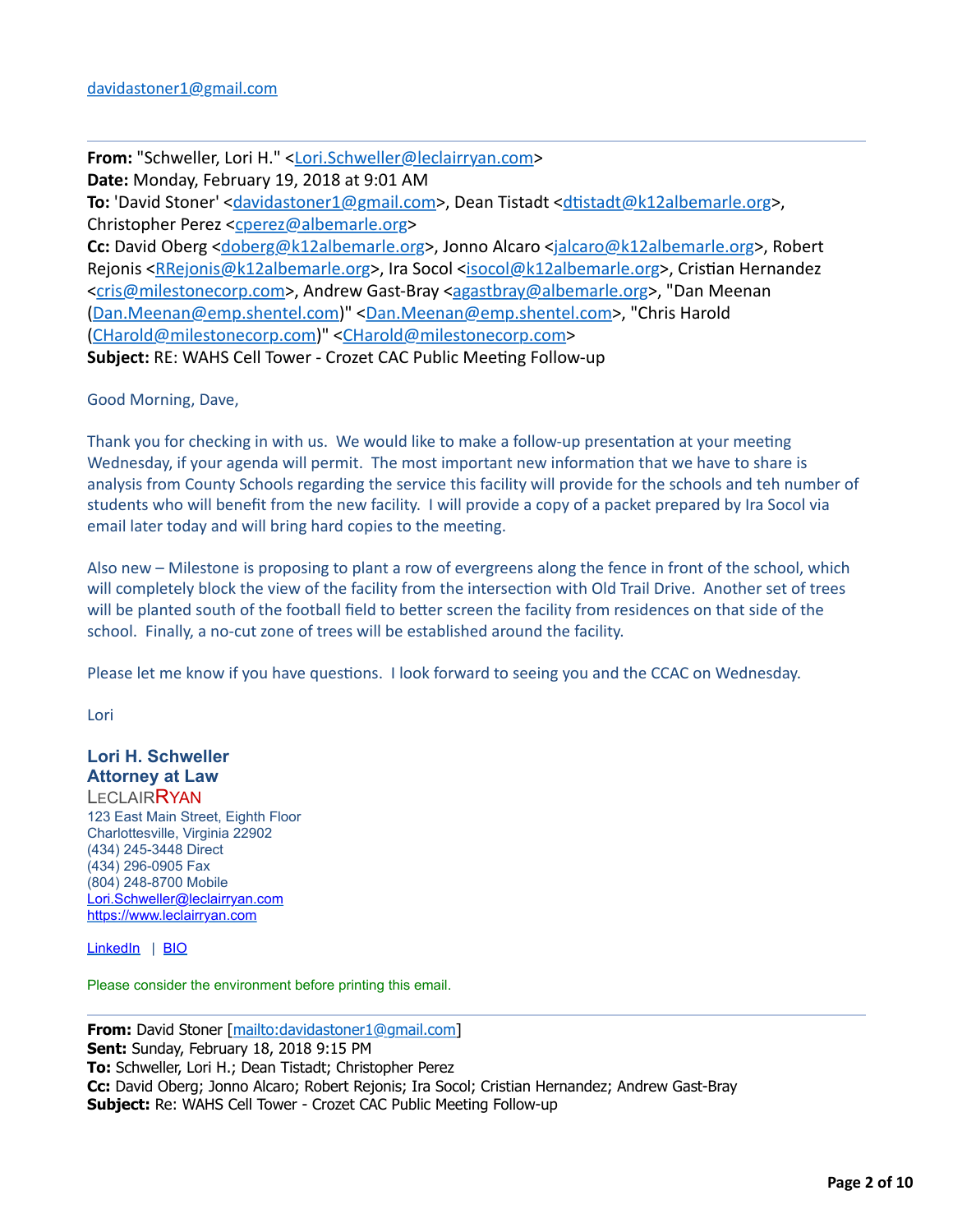**From:** "Schweller, Lori H." [<Lori.Schweller@leclairryan.com>](mailto:Lori.Schweller@leclairryan.com) Date: Monday, February 19, 2018 at 9:01 AM **To:** 'David Stoner' <*[davidastoner1@gmail.com](mailto:davidastoner1@gmail.com)>*, Dean Tistadt <*dtistadt@k12albemarle.org>*, Christopher Perez [<cperez@albemarle.org>](mailto:cperez@albemarle.org) Cc: David Oberg [<doberg@k12albemarle.org](mailto:doberg@k12albemarle.org)>, Jonno Alcaro <[jalcaro@k12albemarle.org>](mailto:jalcaro@k12albemarle.org), Robert Rejonis <[RRejonis@k12albemarle.org](mailto:RRejonis@k12albemarle.org)>, Ira Socol <[isocol@k12albemarle.org>](mailto:isocol@k12albemarle.org), Cristian Hernandez <[cris@milestonecorp.com](mailto:cris@milestonecorp.com)>, Andrew Gast-Bray [<agastbray@albemarle.org](mailto:agastbray@albemarle.org)>, "Dan Meenan ([Dan.Meenan@emp.shentel.com\)](mailto:Dan.Meenan@emp.shentel.com)" [<Dan.Meenan@emp.shentel.com](mailto:Dan.Meenan@emp.shentel.com)>, "Chris Harold ([CHarold@milestonecorp.com](mailto:CHarold@milestonecorp.com))" [<CHarold@milestonecorp.com>](mailto:CHarold@milestonecorp.com) **Subject:** RE: WAHS Cell Tower - Crozet CAC Public Meeting Follow-up

Good Morning, Dave,

Thank you for checking in with us. We would like to make a follow-up presentation at your meeting Wednesday, if your agenda will permit. The most important new information that we have to share is analysis from County Schools regarding the service this facility will provide for the schools and teh number of students who will benefit from the new facility. I will provide a copy of a packet prepared by Ira Socol via email later today and will bring hard copies to the meeting.

Also new – Milestone is proposing to plant a row of evergreens along the fence in front of the school, which will completely block the view of the facility from the intersection with Old Trail Drive. Another set of trees will be planted south of the football field to better screen the facility from residences on that side of the school. Finally, a no-cut zone of trees will be established around the facility.

Please let me know if you have questions. I look forward to seeing you and the CCAC on Wednesday.

Lori

#### **Lori H. Schweller Attorney at Law LECLAIRRYAN**

123 East Main Street, Eighth Floor Charlottesville, Virginia 22902 (434) 245-3448 Direct (434) 296-0905 Fax (804) 248-8700 Mobile [Lori.Schweller@leclairryan.com](mailto:Lori.Schweller@leclairryan.com) [https://www.leclairryan.com](https://www.leclairryan.com/)

[LinkedIn](applewebdata://573321FA-CD16-4562-AB48-AEEF8B5E4FEF/2B) | [BIO](https://www.leclairryan.com/Lori-H-Schweller)

Please consider the environment before printing this email.

**From:** David Stoner [[mailto:davidastoner1@gmail.com\]](mailto:davidastoner1@gmail.com) **Sent:** Sunday, February 18, 2018 9:15 PM **To:** Schweller, Lori H.; Dean Tistadt; Christopher Perez **Cc:** David Oberg; Jonno Alcaro; Robert Rejonis; Ira Socol; Cristian Hernandez; Andrew Gast-Bray **Subject:** Re: WAHS Cell Tower - Crozet CAC Public Meeting Follow-up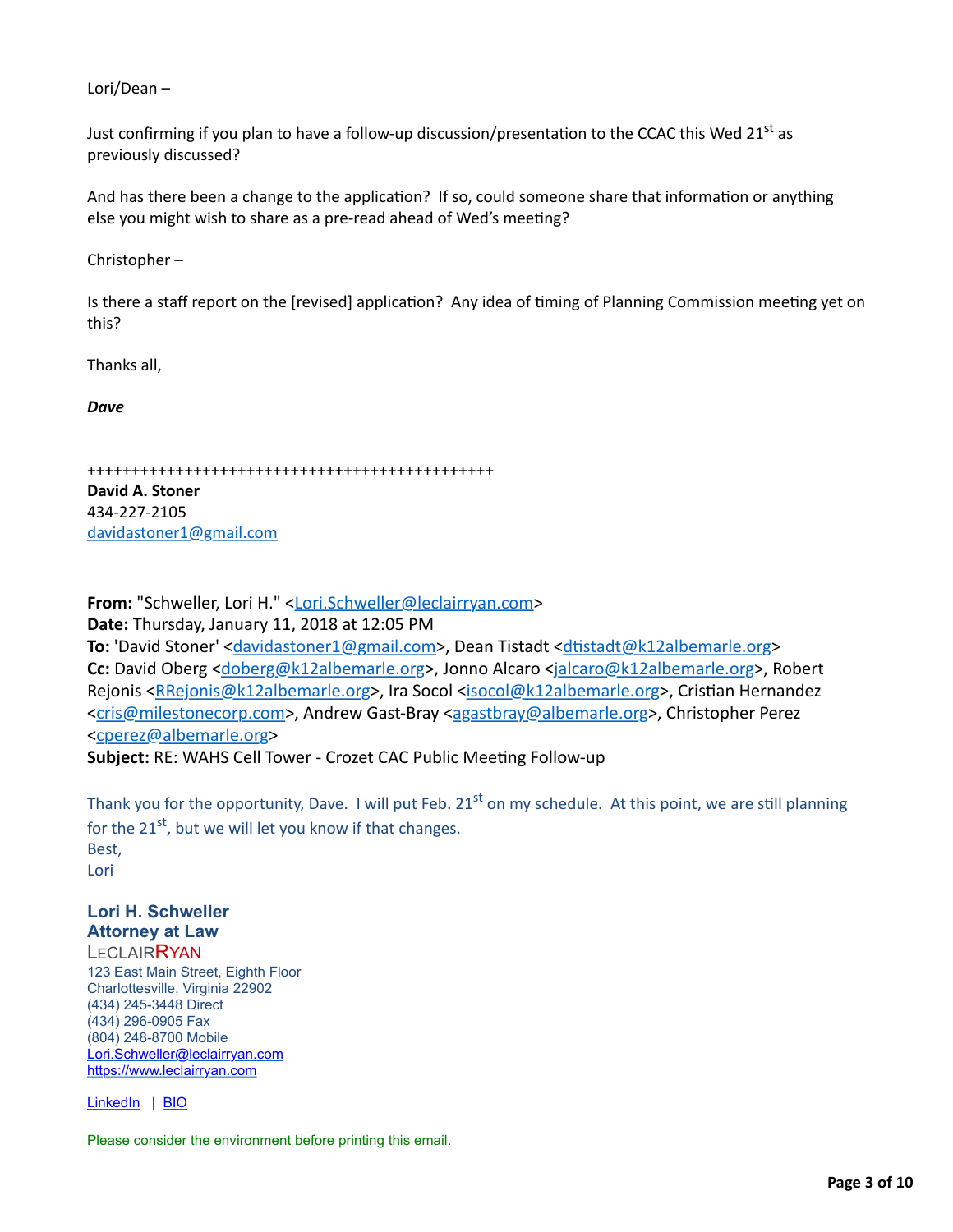Lori/Dean  $-$ 

Just confirming if you plan to have a follow-up discussion/presentation to the CCAC this Wed 21<sup>st</sup> as previously discussed?

And has there been a change to the application? If so, could someone share that information or anything else you might wish to share as a pre-read ahead of Wed's meeting?

Christopher $-$ 

Is there a staff report on the [revised] application? Any idea of timing of Planning Commission meeting yet on this?

Thanks all,

*Dave*

```
++++++++++++++++++++++++++++++++++++++++++++++
```
**David A. Stoner** 434-227-2105 [davidastoner1@gmail.com](mailto:davidastoner1@gmail.com)

**From:** "Schweller, Lori H." [<Lori.Schweller@leclairryan.com>](mailto:Lori.Schweller@leclairryan.com) **Date:** Thursday, January 11, 2018 at 12:05 PM **To:** 'David Stoner' <**[davidastoner1@gmail.com](mailto:davidastoner1@gmail.com)>**, Dean Tistadt <**dtistadt@k12albemarle.org> Cc:** David Oberg [<doberg@k12albemarle.org](mailto:doberg@k12albemarle.org)>, Jonno Alcaro <[jalcaro@k12albemarle.org>](mailto:jalcaro@k12albemarle.org), Robert Rejonis <[RRejonis@k12albemarle.org](mailto:RRejonis@k12albemarle.org)>, Ira Socol <[isocol@k12albemarle.org>](mailto:isocol@k12albemarle.org), Cristian Hernandez <[cris@milestonecorp.com](mailto:cris@milestonecorp.com)>, Andrew Gast-Bray [<agastbray@albemarle.org](mailto:agastbray@albemarle.org)>, Christopher Perez <[cperez@albemarle.org>](mailto:cperez@albemarle.org)

**Subject:** RE: WAHS Cell Tower - Crozet CAC Public Meeting Follow-up

Thank you for the opportunity, Dave. I will put Feb.  $21^{st}$  on my schedule. At this point, we are still planning for the  $21^{st}$ , but we will let you know if that changes.

Best, Lori

# **Lori H. Schweller Attorney at Law**

**LECLAIRRYAN** 123 East Main Street, Eighth Floor Charlottesville, Virginia 22902 (434) 245-3448 Direct (434) 296-0905 Fax (804) 248-8700 Mobile [Lori.Schweller@leclairryan.com](mailto:Lori.Schweller@leclairryan.com) [https://www.leclairryan.com](https://www.leclairryan.com/)

[LinkedIn](applewebdata://573321FA-CD16-4562-AB48-AEEF8B5E4FEF/2B) | [BIO](https://www.leclairryan.com/Lori-H-Schweller)

Please consider the environment before printing this email.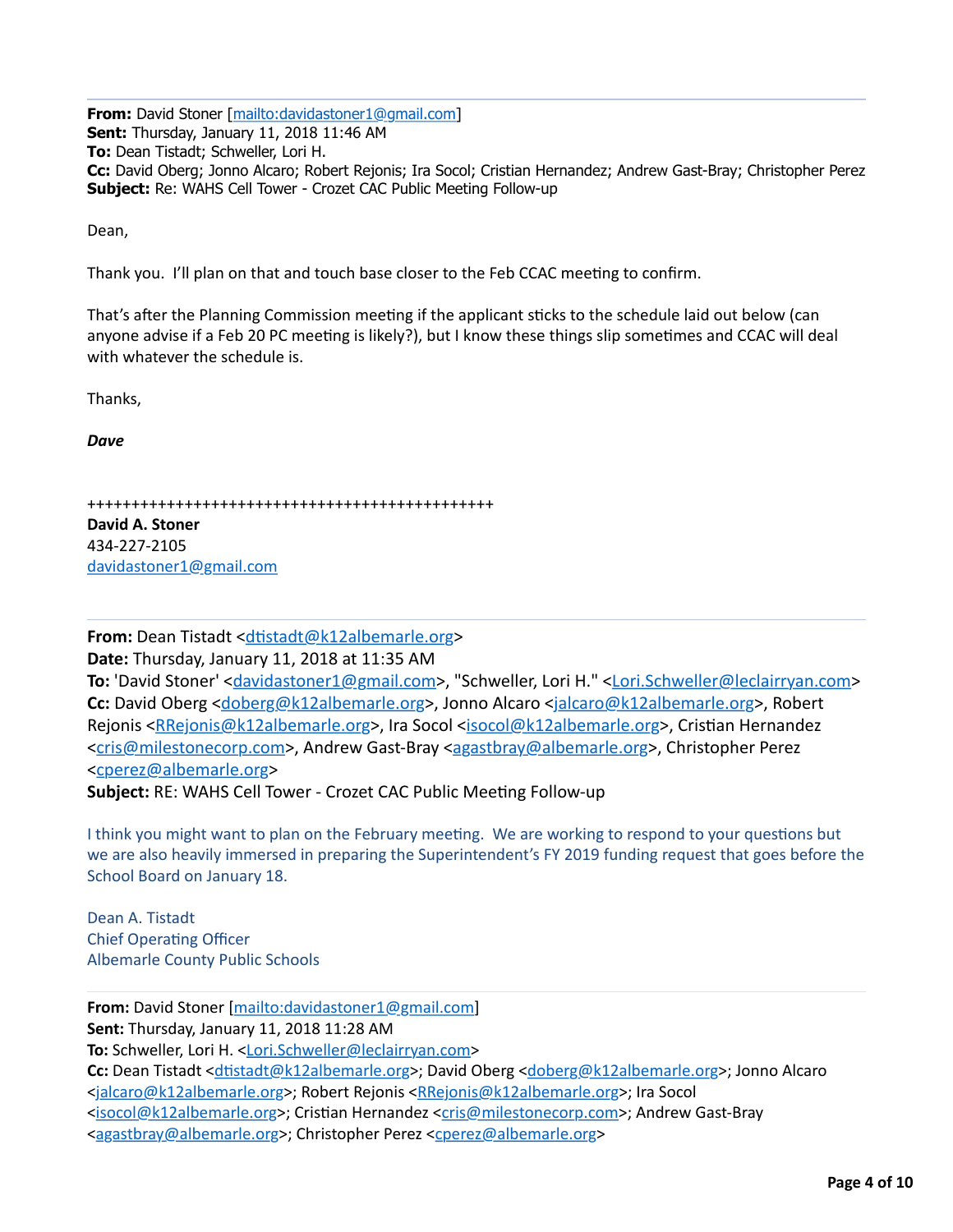**From:** David Stoner [[mailto:davidastoner1@gmail.com\]](mailto:davidastoner1@gmail.com) **Sent:** Thursday, January 11, 2018 11:46 AM **To:** Dean Tistadt; Schweller, Lori H. **Cc:** David Oberg; Jonno Alcaro; Robert Rejonis; Ira Socol; Cristian Hernandez; Andrew Gast-Bray; Christopher Perez **Subject:** Re: WAHS Cell Tower - Crozet CAC Public Meeting Follow-up

Dean,

Thank you. I'll plan on that and touch base closer to the Feb CCAC meeting to confirm.

That's after the Planning Commission meeting if the applicant sticks to the schedule laid out below (can anyone advise if a Feb 20 PC meeting is likely?), but I know these things slip sometimes and CCAC will deal with whatever the schedule is.

Thanks,

*Dave*

++++++++++++++++++++++++++++++++++++++++++++++

**David A. Stoner** 434-227-2105 [davidastoner1@gmail.com](mailto:davidastoner1@gmail.com)

**From:** Dean Tistadt <**dtistadt@k12albemarle.org>** 

**Date:** Thursday, January 11, 2018 at 11:35 AM

To: 'David Stoner' <[davidastoner1@gmail.com](mailto:davidastoner1@gmail.com)>, "Schweller, Lori H." [<Lori.Schweller@leclairryan.com](mailto:Lori.Schweller@leclairryan.com)> **Cc:** David Oberg [<doberg@k12albemarle.org](mailto:doberg@k12albemarle.org)>, Jonno Alcaro <[jalcaro@k12albemarle.org>](mailto:jalcaro@k12albemarle.org), Robert Rejonis <[RRejonis@k12albemarle.org](mailto:RRejonis@k12albemarle.org)>, Ira Socol <[isocol@k12albemarle.org>](mailto:isocol@k12albemarle.org), Cristian Hernandez <[cris@milestonecorp.com](mailto:cris@milestonecorp.com)>, Andrew Gast-Bray [<agastbray@albemarle.org](mailto:agastbray@albemarle.org)>, Christopher Perez <[cperez@albemarle.org>](mailto:cperez@albemarle.org)

Subject: RE: WAHS Cell Tower - Crozet CAC Public Meeting Follow-up

I think you might want to plan on the February meeting. We are working to respond to your questions but we are also heavily immersed in preparing the Superintendent's FY 2019 funding request that goes before the School Board on January 18.

Dean A. Tistadt Chief Operating Officer Albemarle County Public Schools

**From:** David Stoner [\[mailto:davidastoner1@gmail.com\]](mailto:davidastoner1@gmail.com) **Sent:** Thursday, January 11, 2018 11:28 AM **To:** Schweller, Lori H. [<Lori.Schweller@leclairryan.com](mailto:Lori.Schweller@leclairryan.com)> **Cc:** Dean Tistadt <dtistadt@k12albemarle.org>; David Oberg <[doberg@k12albemarle.org>](mailto:doberg@k12albemarle.org); Jonno Alcaro <[jalcaro@k12albemarle.org](mailto:jalcaro@k12albemarle.org)>; Robert Rejonis [<RRejonis@k12albemarle.org>](mailto:RRejonis@k12albemarle.org); Ira Socol <[isocol@k12albemarle.org](mailto:isocol@k12albemarle.org)>; Cristian Hernandez <[cris@milestonecorp.com>](mailto:cris@milestonecorp.com); Andrew Gast-Bray <[agastbray@albemarle.org](mailto:agastbray@albemarle.org)>; Christopher Perez <[cperez@albemarle.org](mailto:cperez@albemarle.org)>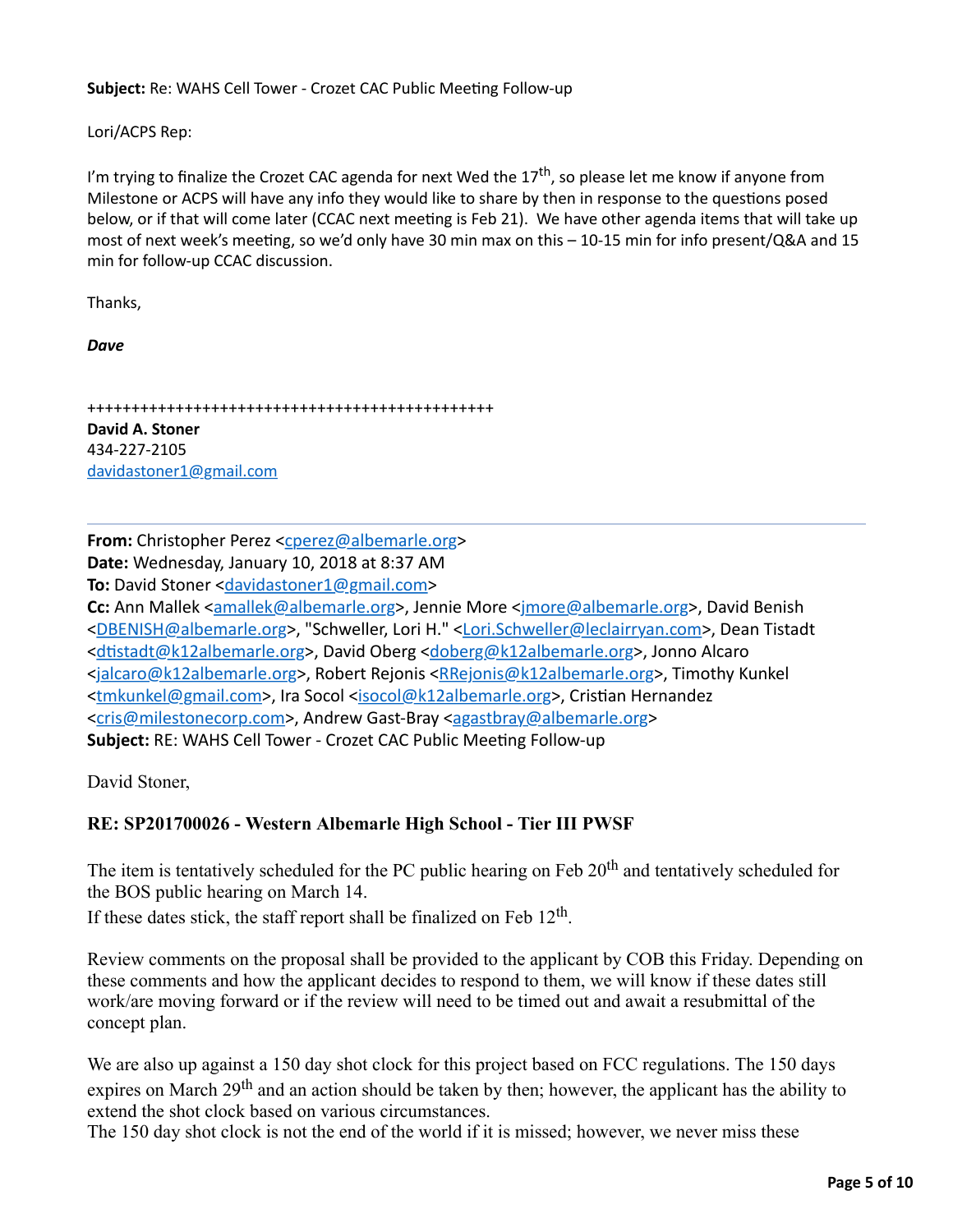**Subject:** Re: WAHS Cell Tower - Crozet CAC Public Meeting Follow-up

Lori/ACPS Rep:

I'm trying to finalize the Crozet CAC agenda for next Wed the  $17<sup>th</sup>$ , so please let me know if anyone from Milestone or ACPS will have any info they would like to share by then in response to the questions posed below, or if that will come later (CCAC next meeting is Feb 21). We have other agenda items that will take up most of next week's meeting, so we'd only have 30 min max on this  $-10-15$  min for info present/Q&A and 15 min for follow-up CCAC discussion.

Thanks,

*Dave*

++++++++++++++++++++++++++++++++++++++++++++++ **David A. Stoner** 434-227-2105 [davidastoner1@gmail.com](mailto:davidastoner1@gmail.com)

**From:** Christopher Perez [<cperez@albemarle.org>](mailto:cperez@albemarle.org) Date: Wednesday, January 10, 2018 at 8:37 AM **To:** David Stoner < davidastoner1@gmail.com> Cc: Ann Mallek [<amallek@albemarle.org](mailto:amallek@albemarle.org)>, Jennie More <[jmore@albemarle.org](mailto:jmore@albemarle.org)>, David Benish <[DBENISH@albemarle.org](mailto:DBENISH@albemarle.org)>, "Schweller, Lori H." [<Lori.Schweller@leclairryan.com](mailto:Lori.Schweller@leclairryan.com)>, Dean Tistadt <dtistadt@k12albemarle.org>, David Oberg [<doberg@k12albemarle.org](mailto:doberg@k12albemarle.org)>, Jonno Alcaro <[jalcaro@k12albemarle.org>](mailto:jalcaro@k12albemarle.org), Robert Rejonis <**RRejonis@k12albemarle.org>**, Timothy Kunkel <[tmkunkel@gmail.com](mailto:tmkunkel@gmail.com)>, Ira Socol [<isocol@k12albemarle.org](mailto:isocol@k12albemarle.org)>, Cristian Hernandez <[cris@milestonecorp.com](mailto:cris@milestonecorp.com)>, Andrew Gast-Bray [<agastbray@albemarle.org](mailto:agastbray@albemarle.org)> Subject: RE: WAHS Cell Tower - Crozet CAC Public Meeting Follow-up

David Stoner,

# **RE: SP201700026 - Western Albemarle High School - Tier III PWSF**

The item is tentatively scheduled for the PC public hearing on Feb 20<sup>th</sup> and tentatively scheduled for the BOS public hearing on March 14.

If these dates stick, the staff report shall be finalized on Feb  $12<sup>th</sup>$ .

Review comments on the proposal shall be provided to the applicant by COB this Friday. Depending on these comments and how the applicant decides to respond to them, we will know if these dates still work/are moving forward or if the review will need to be timed out and await a resubmittal of the concept plan.

We are also up against a 150 day shot clock for this project based on FCC regulations. The 150 days expires on March 29<sup>th</sup> and an action should be taken by then; however, the applicant has the ability to extend the shot clock based on various circumstances.

The 150 day shot clock is not the end of the world if it is missed; however, we never miss these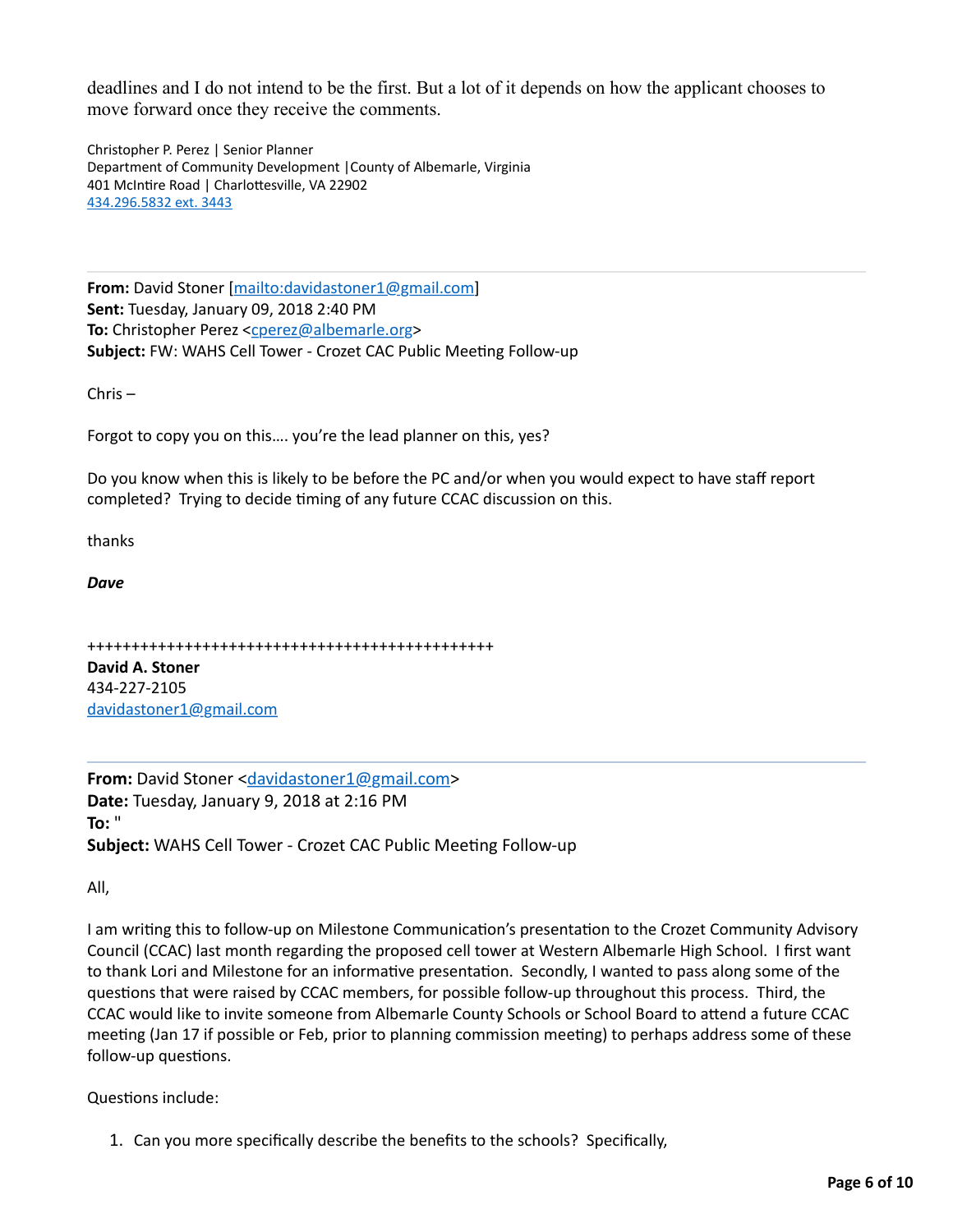deadlines and I do not intend to be the first. But a lot of it depends on how the applicant chooses to move forward once they receive the comments.

Christopher P. Perez | Senior Planner Department of Community Development | County of Albemarle, Virginia 401 McIntire Road | Charlottesville, VA 22902 434.296.5832 ext. 3443

**From:** David Stoner [\[mailto:davidastoner1@gmail.com\]](mailto:davidastoner1@gmail.com) **Sent:** Tuesday, January 09, 2018 2:40 PM **To:** Christopher Perez <c<u>perez@albemarle.org</u>> **Subject:** FW: WAHS Cell Tower - Crozet CAC Public Meeting Follow-up

 $Chris -$ 

Forgot to copy you on this.... you're the lead planner on this, yes?

Do you know when this is likely to be before the PC and/or when you would expect to have staff report completed? Trying to decide timing of any future CCAC discussion on this.

thanks

*Dave*

```
++++++++++++++++++++++++++++++++++++++++++++++
```
**David A. Stoner** 434-227-2105 [davidastoner1@gmail.com](mailto:davidastoner1@gmail.com)

**From:** David Stoner <[davidastoner1@gmail.com](mailto:davidastoner1@gmail.com)> **Date:** Tuesday, January 9, 2018 at 2:16 PM **To:** " **Subject:** WAHS Cell Tower - Crozet CAC Public Meeting Follow-up

All,

I am writing this to follow-up on Milestone Communication's presentation to the Crozet Community Advisory Council (CCAC) last month regarding the proposed cell tower at Western Albemarle High School. I first want to thank Lori and Milestone for an informative presentation. Secondly, I wanted to pass along some of the questions that were raised by CCAC members, for possible follow-up throughout this process. Third, the CCAC would like to invite someone from Albemarle County Schools or School Board to attend a future CCAC meeting (Jan 17 if possible or Feb, prior to planning commission meeting) to perhaps address some of these follow-up questions.

Questions include:

1. Can you more specifically describe the benefits to the schools? Specifically,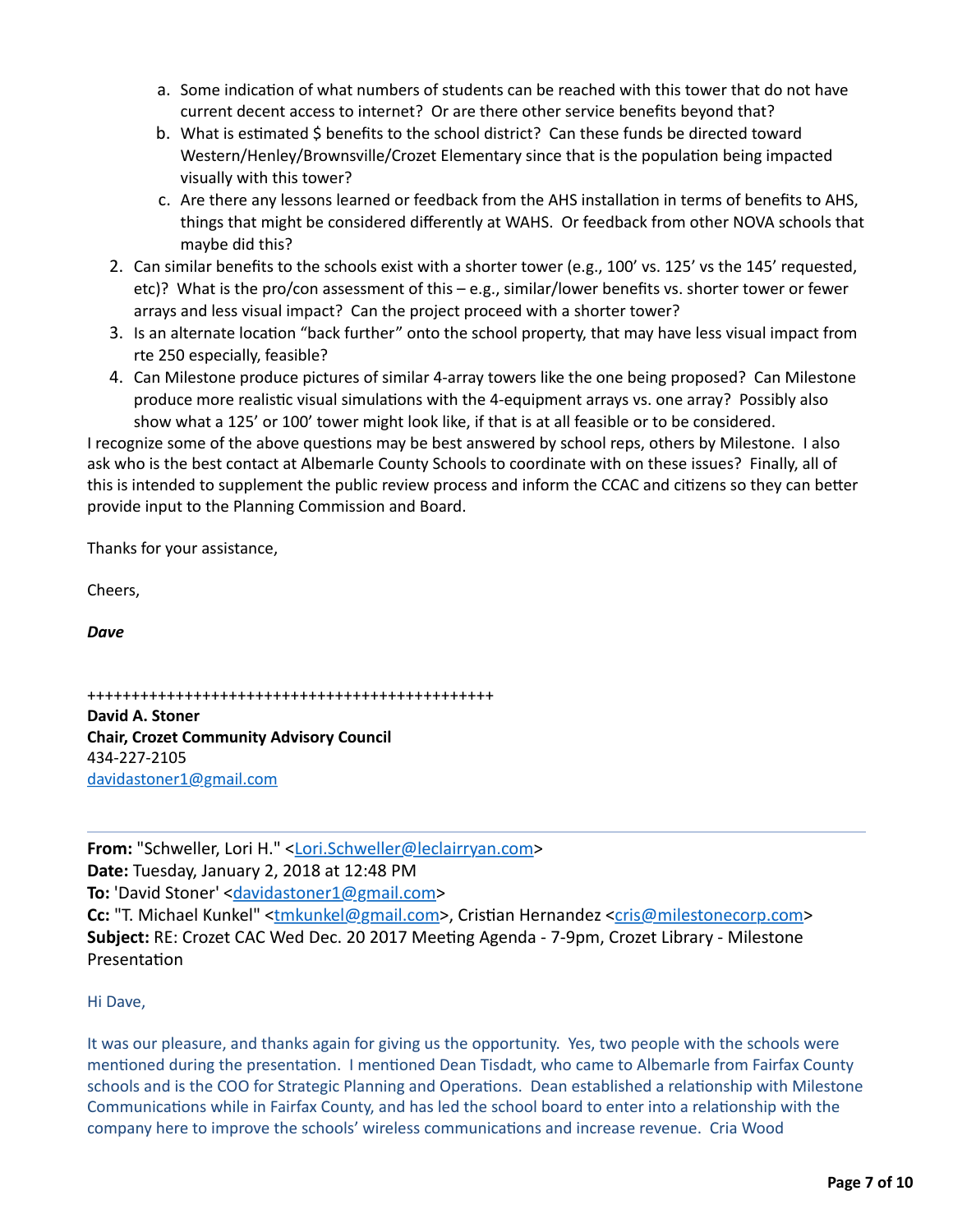- a. Some indication of what numbers of students can be reached with this tower that do not have current decent access to internet? Or are there other service benefits beyond that?
- b. What is estimated  $\frac{1}{2}$  benefits to the school district? Can these funds be directed toward Western/Henley/Brownsville/Crozet Elementary since that is the population being impacted visually with this tower?
- c. Are there any lessons learned or feedback from the AHS installation in terms of benefits to AHS, things that might be considered differently at WAHS. Or feedback from other NOVA schools that maybe did this?
- 2. Can similar benefits to the schools exist with a shorter tower (e.g., 100' vs. 125' vs the 145' requested, etc)? What is the pro/con assessment of this – e.g., similar/lower benefits vs. shorter tower or fewer arrays and less visual impact? Can the project proceed with a shorter tower?
- 3. Is an alternate location "back further" onto the school property, that may have less visual impact from rte 250 especially, feasible?
- 4. Can Milestone produce pictures of similar 4-array towers like the one being proposed? Can Milestone produce more realistic visual simulations with the 4-equipment arrays vs. one array? Possibly also show what a 125' or 100' tower might look like, if that is at all feasible or to be considered.

I recognize some of the above questions may be best answered by school reps, others by Milestone. I also ask who is the best contact at Albemarle County Schools to coordinate with on these issues? Finally, all of this is intended to supplement the public review process and inform the CCAC and citizens so they can better provide input to the Planning Commission and Board.

Thanks for your assistance,

Cheers,

*Dave*

++++++++++++++++++++++++++++++++++++++++++++++

**David A. Stoner Chair, Crozet Community Advisory Council** 434-227-2105 [davidastoner1@gmail.com](mailto:davidastoner1@gmail.com)

**From:** "Schweller, Lori H." [<Lori.Schweller@leclairryan.com>](mailto:Lori.Schweller@leclairryan.com) **Date:** Tuesday, January 2, 2018 at 12:48 PM **To:** 'David Stoner' <[davidastoner1@gmail.com](mailto:davidastoner1@gmail.com)> **Cc:** "T. Michael Kunkel" [<tmkunkel@gmail.com>](mailto:tmkunkel@gmail.com), Cristian Hernandez [<cris@milestonecorp.com](mailto:cris@milestonecorp.com)> **Subject:** RE: Crozet CAC Wed Dec. 20 2017 Meeting Agenda - 7-9pm, Crozet Library - Milestone Presentation

### Hi Dave,

It was our pleasure, and thanks again for giving us the opportunity. Yes, two people with the schools were mentioned during the presentation. I mentioned Dean Tisdadt, who came to Albemarle from Fairfax County schools and is the COO for Strategic Planning and Operations. Dean established a relationship with Milestone Communications while in Fairfax County, and has led the school board to enter into a relationship with the company here to improve the schools' wireless communications and increase revenue. Cria Wood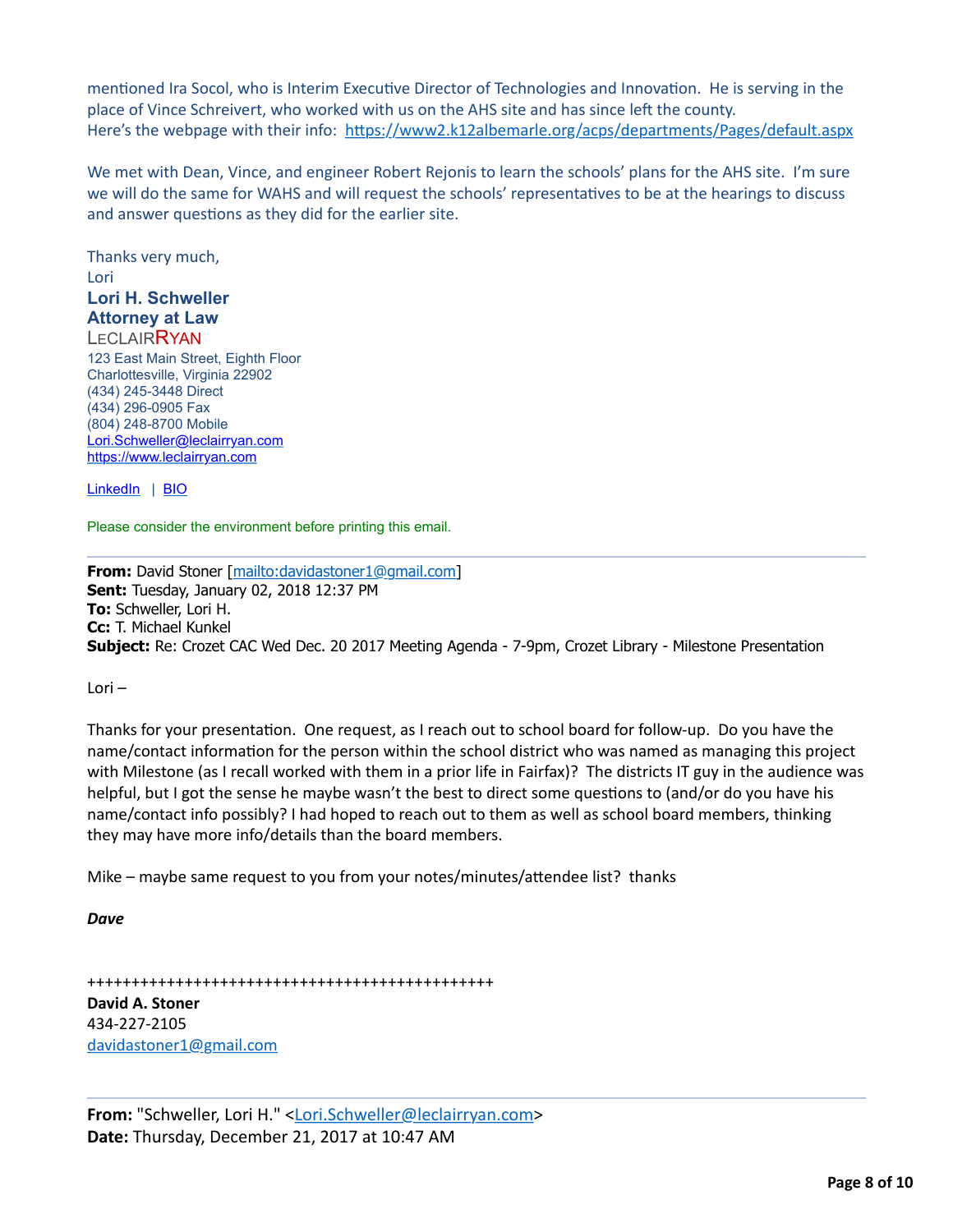mentioned Ira Socol, who is Interim Executive Director of Technologies and Innovation. He is serving in the place of Vince Schreivert, who worked with us on the AHS site and has since left the county. Here's the webpage with their info: https://www2.k12albemarle.org/acps/departments/Pages/default.aspx

We met with Dean, Vince, and engineer Robert Rejonis to learn the schools' plans for the AHS site. I'm sure we will do the same for WAHS and will request the schools' representatives to be at the hearings to discuss and answer questions as they did for the earlier site.

Thanks very much, Lori **Lori H. Schweller Attorney at Law LECLAIRRYAN** 123 East Main Street, Eighth Floor Charlottesville, Virginia 22902 (434) 245-3448 Direct (434) 296-0905 Fax (804) 248-8700 Mobile [Lori.Schweller@leclairryan.com](mailto:Lori.Schweller@leclairryan.com) [https://www.leclairryan.com](https://www.leclairryan.com/)

[LinkedIn](applewebdata://573321FA-CD16-4562-AB48-AEEF8B5E4FEF/2B) | [BIO](https://www.leclairryan.com/Lori-H-Schweller)

Please consider the environment before printing this email.

**From:** David Stoner [[mailto:davidastoner1@gmail.com\]](mailto:davidastoner1@gmail.com) **Sent:** Tuesday, January 02, 2018 12:37 PM **To:** Schweller, Lori H. **Cc:** T. Michael Kunkel **Subject:** Re: Crozet CAC Wed Dec. 20 2017 Meeting Agenda - 7-9pm, Crozet Library - Milestone Presentation

Lori –

Thanks for your presentation. One request, as I reach out to school board for follow-up. Do you have the name/contact information for the person within the school district who was named as managing this project with Milestone (as I recall worked with them in a prior life in Fairfax)? The districts IT guy in the audience was helpful, but I got the sense he maybe wasn't the best to direct some questions to (and/or do you have his name/contact info possibly? I had hoped to reach out to them as well as school board members, thinking they may have more info/details than the board members.

Mike – maybe same request to you from your notes/minutes/attendee list? thanks

*Dave*

++++++++++++++++++++++++++++++++++++++++++++++ **David A. Stoner**

434-227-2105 [davidastoner1@gmail.com](mailto:davidastoner1@gmail.com)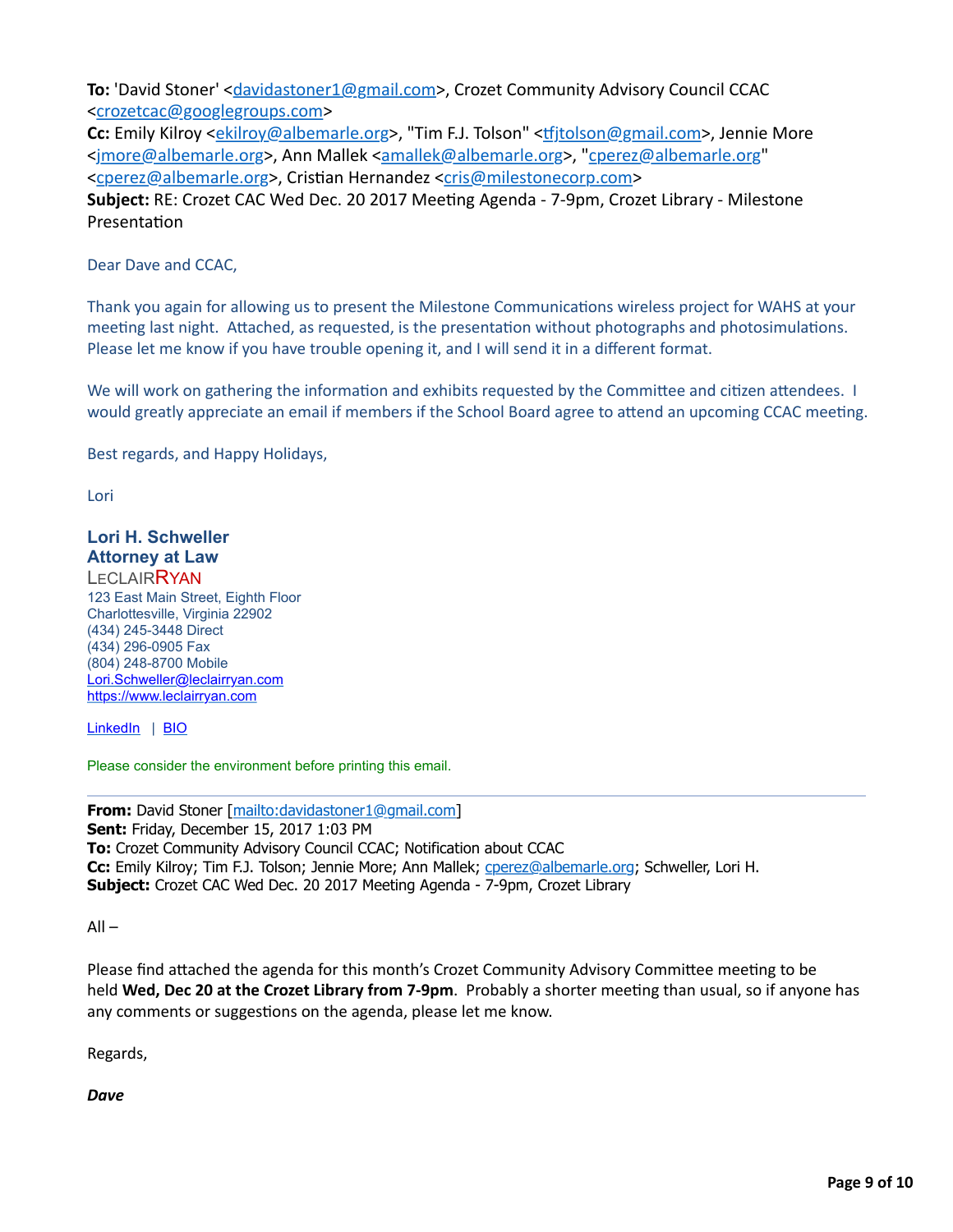**To:** 'David Stoner' <[davidastoner1@gmail.com](mailto:davidastoner1@gmail.com)>, Crozet Community Advisory Council CCAC <[crozetcac@googlegroups.com>](mailto:crozetcac@googlegroups.com)

Cc: Emily Kilroy <[ekilroy@albemarle.org](mailto:ekilroy@albemarle.org)>, "Tim F.J. Tolson" <tfjtolson@gmail.com>, Jennie More <[jmore@albemarle.org>](mailto:jmore@albemarle.org), Ann Mallek [<amallek@albemarle.org>](mailto:amallek@albemarle.org), ["cperez@albemarle.org](mailto:cperez@albemarle.org)" <[cperez@albemarle.org>](mailto:cperez@albemarle.org), Cristian Hernandez [<cris@milestonecorp.com>](mailto:cris@milestonecorp.com) **Subject:** RE: Crozet CAC Wed Dec. 20 2017 Meeting Agenda - 7-9pm, Crozet Library - Milestone Presentation

Dear Dave and CCAC,

Thank you again for allowing us to present the Milestone Communications wireless project for WAHS at your meeting last night. Attached, as requested, is the presentation without photographs and photosimulations. Please let me know if you have trouble opening it, and I will send it in a different format.

We will work on gathering the information and exhibits requested by the Committee and citizen attendees. I would greatly appreciate an email if members if the School Board agree to attend an upcoming CCAC meeting.

Best regards, and Happy Holidays,

Lori

#### **Lori H. Schweller Attorney at Law**

**LECLAIRRYAN** 123 East Main Street, Eighth Floor Charlottesville, Virginia 22902 (434) 245-3448 Direct (434) 296-0905 Fax (804) 248-8700 Mobile [Lori.Schweller@leclairryan.com](mailto:Lori.Schweller@leclairryan.com) [https://www.leclairryan.com](https://www.leclairryan.com/)

[LinkedIn](applewebdata://573321FA-CD16-4562-AB48-AEEF8B5E4FEF/2B) | [BIO](https://www.leclairryan.com/Lori-H-Schweller)

Please consider the environment before printing this email.

**From:** David Stoner [[mailto:davidastoner1@gmail.com\]](mailto:davidastoner1@gmail.com) **Sent:** Friday, December 15, 2017 1:03 PM **To:** Crozet Community Advisory Council CCAC; Notification about CCAC **Cc:** Emily Kilroy; Tim F.J. Tolson; Jennie More; Ann Mallek; [cperez@albemarle.org;](mailto:cperez@albemarle.org) Schweller, Lori H. **Subject:** Crozet CAC Wed Dec. 20 2017 Meeting Agenda - 7-9pm, Crozet Library

 $All -$ 

Please find attached the agenda for this month's Crozet Community Advisory Committee meeting to be held Wed, Dec 20 at the Crozet Library from 7-9pm. Probably a shorter meeting than usual, so if anyone has any comments or suggestions on the agenda, please let me know.

Regards,

*Dave*